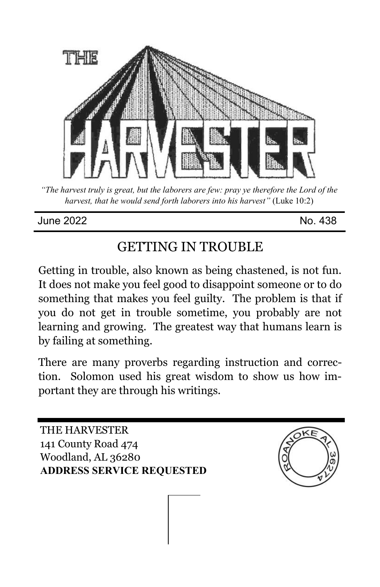

*"The harvest truly is great, but the laborers are few: pray ye therefore the Lord of the harvest, that he would send forth laborers into his harvest"* (Luke 10:2)

#### June 2022 No. 438

# GETTING IN TROUBLE

Getting in trouble, also known as being chastened, is not fun. It does not make you feel good to disappoint someone or to do something that makes you feel guilty. The problem is that if you do not get in trouble sometime, you probably are not learning and growing. The greatest way that humans learn is by failing at something.

There are many proverbs regarding instruction and correction. Solomon used his great wisdom to show us how important they are through his writings.

THE HARVESTER 141 County Road 474 Woodland, AL 36280 **ADDRESS SERVICE REQUESTED**

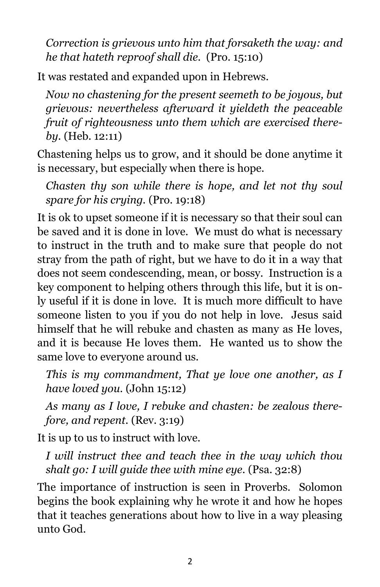*Correction is grievous unto him that forsaketh the way: and he that hateth reproof shall die.* (Pro. 15:10)

It was restated and expanded upon in Hebrews.

*Now no chastening for the present seemeth to be joyous, but grievous: nevertheless afterward it yieldeth the peaceable fruit of righteousness unto them which are exercised thereby.* (Heb. 12:11)

Chastening helps us to grow, and it should be done anytime it is necessary, but especially when there is hope.

*Chasten thy son while there is hope, and let not thy soul spare for his crying.* (Pro. 19:18)

It is ok to upset someone if it is necessary so that their soul can be saved and it is done in love. We must do what is necessary to instruct in the truth and to make sure that people do not stray from the path of right, but we have to do it in a way that does not seem condescending, mean, or bossy. Instruction is a key component to helping others through this life, but it is only useful if it is done in love. It is much more difficult to have someone listen to you if you do not help in love. Jesus said himself that he will rebuke and chasten as many as He loves, and it is because He loves them. He wanted us to show the same love to everyone around us.

*This is my commandment, That ye love one another, as I have loved you.* (John 15:12)

*As many as I love, I rebuke and chasten: be zealous therefore, and repent.* (Rev. 3:19)

It is up to us to instruct with love.

*I will instruct thee and teach thee in the way which thou shalt go: I will guide thee with mine eye.* (Psa. 32:8)

The importance of instruction is seen in Proverbs. Solomon begins the book explaining why he wrote it and how he hopes that it teaches generations about how to live in a way pleasing unto God.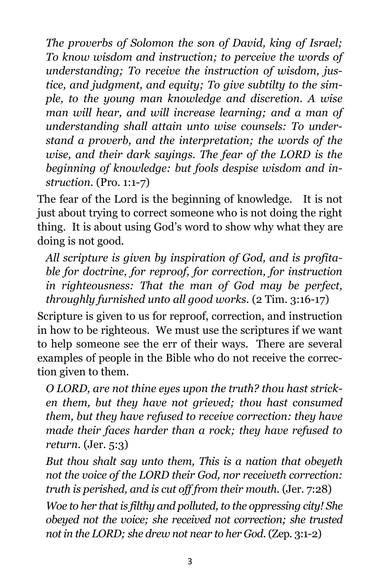*The proverbs of Solomon the son of David, king of Israel; To know wisdom and instruction; to perceive the words of understanding; To receive the instruction of wisdom, justice, and judgment, and equity; To give subtilty to the simple, to the young man knowledge and discretion. A wise man will hear, and will increase learning; and a man of understanding shall attain unto wise counsels: To understand a proverb, and the interpretation; the words of the wise, and their dark sayings. The fear of the LORD is the beginning of knowledge: but fools despise wisdom and instruction.* (Pro. 1:1-7)

The fear of the Lord is the beginning of knowledge. It is not just about trying to correct someone who is not doing the right thing. It is about using God's word to show why what they are doing is not good.

*All scripture is given by inspiration of God, and is profitable for doctrine, for reproof, for correction, for instruction in righteousness: That the man of God may be perfect, throughly furnished unto all good works.* (2 Tim. 3:16-17)

Scripture is given to us for reproof, correction, and instruction in how to be righteous. We must use the scriptures if we want to help someone see the err of their ways. There are several examples of people in the Bible who do not receive the correction given to them.

*O LORD, are not thine eyes upon the truth? thou hast stricken them, but they have not grieved; thou hast consumed them, but they have refused to receive correction: they have made their faces harder than a rock; they have refused to return.* (Jer. 5:3)

*But thou shalt say unto them, This is a nation that obeyeth not the voice of the LORD their God, nor receiveth correction: truth is perished, and is cut off from their mouth.* (Jer. 7:28)

*Woe to her that is filthy and polluted, to the oppressing city! She obeyed not the voice; she received not correction; she trusted not in the LORD; she drew not near to her God.* (Zep. 3:1-2)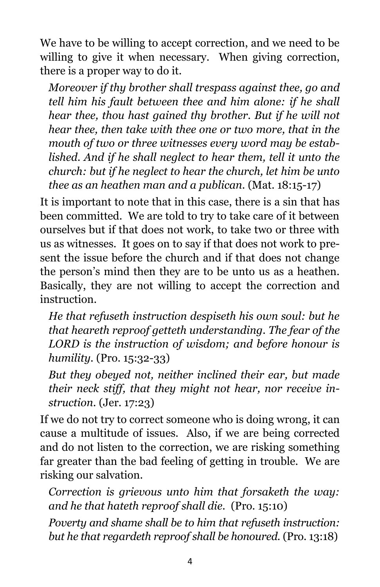We have to be willing to accept correction, and we need to be willing to give it when necessary. When giving correction, there is a proper way to do it.

*Moreover if thy brother shall trespass against thee, go and tell him his fault between thee and him alone: if he shall hear thee, thou hast gained thy brother. But if he will not hear thee, then take with thee one or two more, that in the mouth of two or three witnesses every word may be established. And if he shall neglect to hear them, tell it unto the church: but if he neglect to hear the church, let him be unto thee as an heathen man and a publican.* (Mat. 18:15-17)

It is important to note that in this case, there is a sin that has been committed. We are told to try to take care of it between ourselves but if that does not work, to take two or three with us as witnesses. It goes on to say if that does not work to present the issue before the church and if that does not change the person's mind then they are to be unto us as a heathen. Basically, they are not willing to accept the correction and instruction.

*He that refuseth instruction despiseth his own soul: but he that heareth reproof getteth understanding. The fear of the LORD is the instruction of wisdom; and before honour is humility.* (Pro. 15:32-33)

*But they obeyed not, neither inclined their ear, but made their neck stiff, that they might not hear, nor receive instruction.* (Jer. 17:23)

If we do not try to correct someone who is doing wrong, it can cause a multitude of issues. Also, if we are being corrected and do not listen to the correction, we are risking something far greater than the bad feeling of getting in trouble. We are risking our salvation.

*Correction is grievous unto him that forsaketh the way: and he that hateth reproof shall die.* (Pro. 15:10)

*Poverty and shame shall be to him that refuseth instruction: but he that regardeth reproof shall be honoured.* (Pro. 13:18)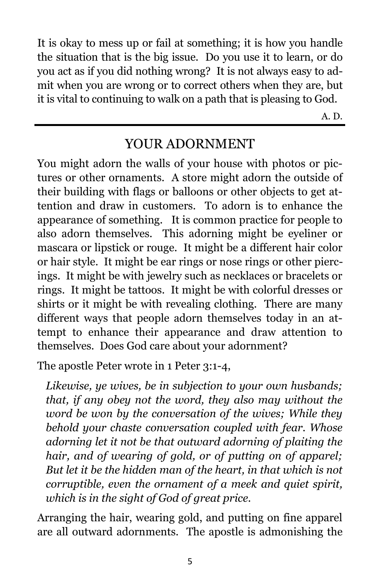It is okay to mess up or fail at something; it is how you handle the situation that is the big issue. Do you use it to learn, or do you act as if you did nothing wrong? It is not always easy to admit when you are wrong or to correct others when they are, but it is vital to continuing to walk on a path that is pleasing to God.

A. D.

## YOUR ADORNMENT

You might adorn the walls of your house with photos or pictures or other ornaments. A store might adorn the outside of their building with flags or balloons or other objects to get attention and draw in customers. To adorn is to enhance the appearance of something. It is common practice for people to also adorn themselves. This adorning might be eyeliner or mascara or lipstick or rouge. It might be a different hair color or hair style. It might be ear rings or nose rings or other piercings. It might be with jewelry such as necklaces or bracelets or rings. It might be tattoos. It might be with colorful dresses or shirts or it might be with revealing clothing. There are many different ways that people adorn themselves today in an attempt to enhance their appearance and draw attention to themselves. Does God care about your adornment?

The apostle Peter wrote in 1 Peter 3:1-4,

*Likewise, ye wives, be in subjection to your own husbands; that, if any obey not the word, they also may without the word be won by the conversation of the wives; While they behold your chaste conversation coupled with fear. Whose adorning let it not be that outward adorning of plaiting the hair, and of wearing of gold, or of putting on of apparel; But let it be the hidden man of the heart, in that which is not corruptible, even the ornament of a meek and quiet spirit, which is in the sight of God of great price.* 

Arranging the hair, wearing gold, and putting on fine apparel are all outward adornments. The apostle is admonishing the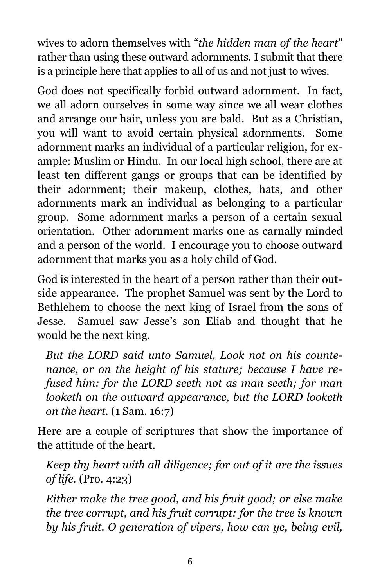wives to adorn themselves with "*the hidden man of the heart*" rather than using these outward adornments. I submit that there is a principle here that applies to all of us and not just to wives.

God does not specifically forbid outward adornment. In fact, we all adorn ourselves in some way since we all wear clothes and arrange our hair, unless you are bald. But as a Christian, you will want to avoid certain physical adornments. Some adornment marks an individual of a particular religion, for example: Muslim or Hindu. In our local high school, there are at least ten different gangs or groups that can be identified by their adornment; their makeup, clothes, hats, and other adornments mark an individual as belonging to a particular group. Some adornment marks a person of a certain sexual orientation. Other adornment marks one as carnally minded and a person of the world. I encourage you to choose outward adornment that marks you as a holy child of God.

God is interested in the heart of a person rather than their outside appearance. The prophet Samuel was sent by the Lord to Bethlehem to choose the next king of Israel from the sons of Jesse. Samuel saw Jesse's son Eliab and thought that he would be the next king.

*But the LORD said unto Samuel, Look not on his countenance, or on the height of his stature; because I have refused him: for the LORD seeth not as man seeth; for man looketh on the outward appearance, but the LORD looketh on the heart.* (1 Sam. 16:7)

Here are a couple of scriptures that show the importance of the attitude of the heart.

*Keep thy heart with all diligence; for out of it are the issues of life.* (Pro. 4:23)

*Either make the tree good, and his fruit good; or else make the tree corrupt, and his fruit corrupt: for the tree is known by his fruit. O generation of vipers, how can ye, being evil,*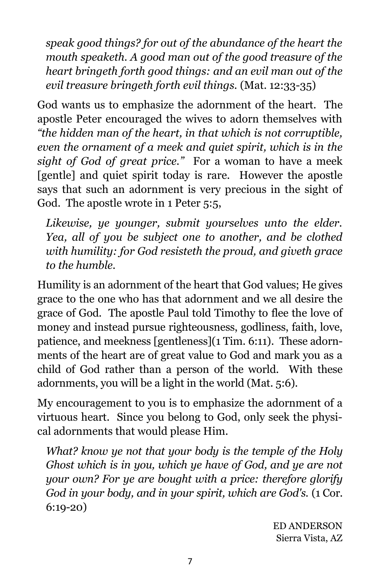*speak good things? for out of the abundance of the heart the mouth speaketh. A good man out of the good treasure of the heart bringeth forth good things: and an evil man out of the evil treasure bringeth forth evil things.* (Mat. 12:33-35)

God wants us to emphasize the adornment of the heart. The apostle Peter encouraged the wives to adorn themselves with *"the hidden man of the heart, in that which is not corruptible, even the ornament of a meek and quiet spirit, which is in the sight of God of great price."* For a woman to have a meek [gentle] and quiet spirit today is rare. However the apostle says that such an adornment is very precious in the sight of God. The apostle wrote in 1 Peter 5:5,

*Likewise, ye younger, submit yourselves unto the elder. Yea, all of you be subject one to another, and be clothed with humility: for God resisteth the proud, and giveth grace to the humble.* 

Humility is an adornment of the heart that God values; He gives grace to the one who has that adornment and we all desire the grace of God. The apostle Paul told Timothy to flee the love of money and instead pursue righteousness, godliness, faith, love, patience, and meekness [gentleness](1 Tim. 6:11). These adornments of the heart are of great value to God and mark you as a child of God rather than a person of the world. With these adornments, you will be a light in the world (Mat. 5:6).

My encouragement to you is to emphasize the adornment of a virtuous heart. Since you belong to God, only seek the physical adornments that would please Him.

*What? know ye not that your body is the temple of the Holy Ghost which is in you, which ye have of God, and ye are not your own? For ye are bought with a price: therefore glorify God in your body, and in your spirit, which are God's.* (1 Cor. 6:19-20)

> ED ANDERSON Sierra Vista, AZ